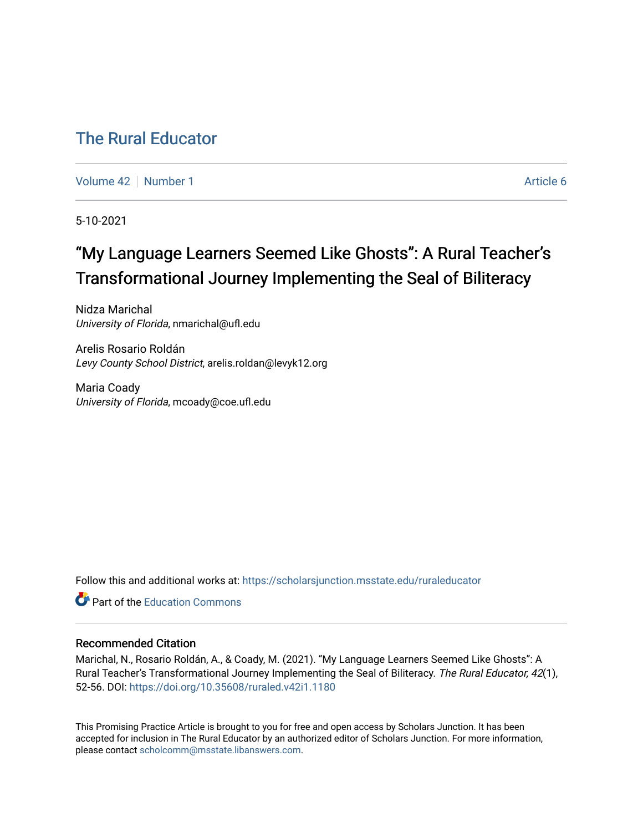# [The Rural Educator](https://scholarsjunction.msstate.edu/ruraleducator)

[Volume 42](https://scholarsjunction.msstate.edu/ruraleducator/vol42) [Number 1](https://scholarsjunction.msstate.edu/ruraleducator/vol42/iss1) Article 6

5-10-2021

# "My Language Learners Seemed Like Ghosts": A Rural Teacher's Transformational Journey Implementing the Seal of Biliteracy

Nidza Marichal University of Florida, nmarichal@ufl.edu

Arelis Rosario Roldán Levy County School District, arelis.roldan@levyk12.org

Maria Coady University of Florida, mcoady@coe.ufl.edu

Follow this and additional works at: [https://scholarsjunction.msstate.edu/ruraleducator](https://scholarsjunction.msstate.edu/ruraleducator?utm_source=scholarsjunction.msstate.edu%2Fruraleducator%2Fvol42%2Fiss1%2F6&utm_medium=PDF&utm_campaign=PDFCoverPages)

**C** Part of the [Education Commons](http://network.bepress.com/hgg/discipline/784?utm_source=scholarsjunction.msstate.edu%2Fruraleducator%2Fvol42%2Fiss1%2F6&utm_medium=PDF&utm_campaign=PDFCoverPages)

## Recommended Citation

Marichal, N., Rosario Roldán, A., & Coady, M. (2021). "My Language Learners Seemed Like Ghosts": A Rural Teacher's Transformational Journey Implementing the Seal of Biliteracy. The Rural Educator, 42(1), 52-56. DOI:<https://doi.org/10.35608/ruraled.v42i1.1180>

This Promising Practice Article is brought to you for free and open access by Scholars Junction. It has been accepted for inclusion in The Rural Educator by an authorized editor of Scholars Junction. For more information, please contact [scholcomm@msstate.libanswers.com.](mailto:scholcomm@msstate.libanswers.com)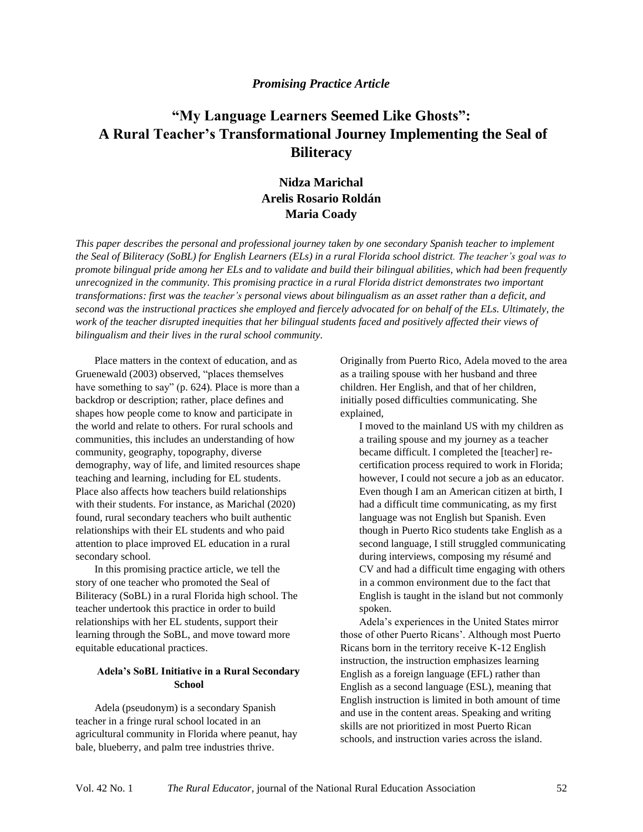## *Promising Practice Article*

# **"My Language Learners Seemed Like Ghosts": A Rural Teacher's Transformational Journey Implementing the Seal of Biliteracy**

# **Nidza Marichal Arelis Rosario Roldán Maria Coady**

*This paper describes the personal and professional journey taken by one secondary Spanish teacher to implement the Seal of Biliteracy (SoBL) for English Learners (ELs) in a rural Florida school district. The teacher's goal was to promote bilingual pride among her ELs and to validate and build their bilingual abilities, which had been frequently unrecognized in the community. This promising practice in a rural Florida district demonstrates two important transformations: first was the teacher's personal views about bilingualism as an asset rather than a deficit, and second was the instructional practices she employed and fiercely advocated for on behalf of the ELs. Ultimately, the work of the teacher disrupted inequities that her bilingual students faced and positively affected their views of bilingualism and their lives in the rural school community.*

Place matters in the context of education, and as Gruenewald (2003) observed, "places themselves have something to say" (p. 624). Place is more than a backdrop or description; rather, place defines and shapes how people come to know and participate in the world and relate to others. For rural schools and communities, this includes an understanding of how community, geography, topography, diverse demography, way of life, and limited resources shape teaching and learning, including for EL students. Place also affects how teachers build relationships with their students. For instance, as Marichal (2020) found, rural secondary teachers who built authentic relationships with their EL students and who paid attention to place improved EL education in a rural secondary school.

In this promising practice article, we tell the story of one teacher who promoted the Seal of Biliteracy (SoBL) in a rural Florida high school. The teacher undertook this practice in order to build relationships with her EL students, support their learning through the SoBL, and move toward more equitable educational practices.

## **Adela's SoBL Initiative in a Rural Secondary School**

Adela (pseudonym) is a secondary Spanish teacher in a fringe rural school located in an agricultural community in Florida where peanut, hay bale, blueberry, and palm tree industries thrive.

Originally from Puerto Rico, Adela moved to the area as a trailing spouse with her husband and three children. Her English, and that of her children, initially posed difficulties communicating. She explained,

I moved to the mainland US with my children as a trailing spouse and my journey as a teacher became difficult. I completed the [teacher] recertification process required to work in Florida; however, I could not secure a job as an educator. Even though I am an American citizen at birth, I had a difficult time communicating, as my first language was not English but Spanish. Even though in Puerto Rico students take English as a second language, I still struggled communicating during interviews, composing my résumé and CV and had a difficult time engaging with others in a common environment due to the fact that English is taught in the island but not commonly spoken.

Adela's experiences in the United States mirror those of other Puerto Ricans'. Although most Puerto Ricans born in the territory receive K-12 English instruction, the instruction emphasizes learning English as a foreign language (EFL) rather than English as a second language (ESL), meaning that English instruction is limited in both amount of time and use in the content areas. Speaking and writing skills are not prioritized in most Puerto Rican schools, and instruction varies across the island.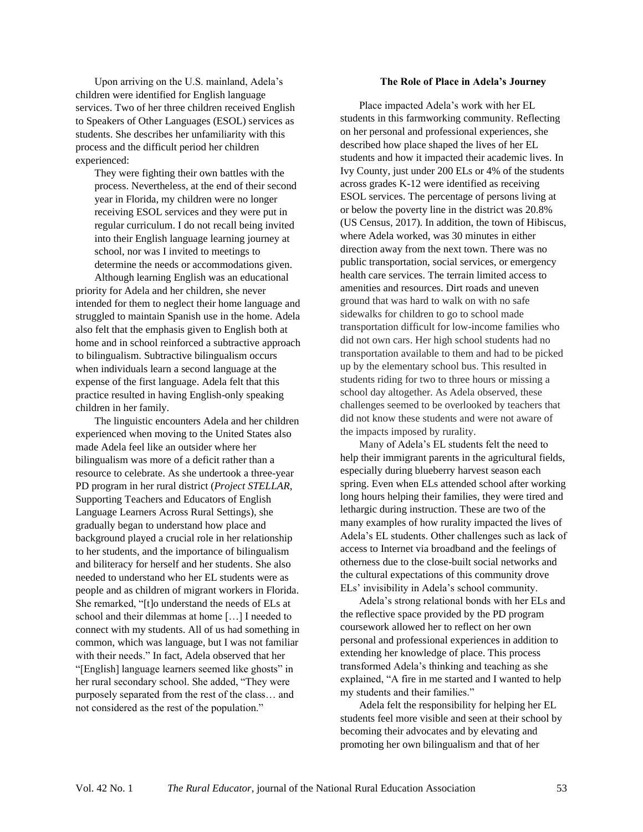Upon arriving on the U.S. mainland, Adela's children were identified for English language services. Two of her three children received English to Speakers of Other Languages (ESOL) services as students. She describes her unfamiliarity with this process and the difficult period her children experienced:

They were fighting their own battles with the process. Nevertheless, at the end of their second year in Florida, my children were no longer receiving ESOL services and they were put in regular curriculum. I do not recall being invited into their English language learning journey at school, nor was I invited to meetings to determine the needs or accommodations given.

Although learning English was an educational priority for Adela and her children, she never intended for them to neglect their home language and struggled to maintain Spanish use in the home. Adela also felt that the emphasis given to English both at home and in school reinforced a subtractive approach to bilingualism. Subtractive bilingualism occurs when individuals learn a second language at the expense of the first language. Adela felt that this practice resulted in having English-only speaking children in her family.

The linguistic encounters Adela and her children experienced when moving to the United States also made Adela feel like an outsider where her bilingualism was more of a deficit rather than a resource to celebrate. As she undertook a three-year PD program in her rural district (*Project STELLAR*, Supporting Teachers and Educators of English Language Learners Across Rural Settings), she gradually began to understand how place and background played a crucial role in her relationship to her students, and the importance of bilingualism and biliteracy for herself and her students. She also needed to understand who her EL students were as people and as children of migrant workers in Florida. She remarked, "[t]o understand the needs of ELs at school and their dilemmas at home […] I needed to connect with my students. All of us had something in common, which was language, but I was not familiar with their needs." In fact, Adela observed that her "[English] language learners seemed like ghosts" in her rural secondary school. She added, "They were purposely separated from the rest of the class… and not considered as the rest of the population."

#### **The Role of Place in Adela's Journey**

Place impacted Adela's work with her EL students in this farmworking community. Reflecting on her personal and professional experiences, she described how place shaped the lives of her EL students and how it impacted their academic lives. In Ivy County, just under 200 ELs or 4% of the students across grades K-12 were identified as receiving ESOL services. The percentage of persons living at or below the poverty line in the district was 20.8% (US Census, 2017). In addition, the town of Hibiscus, where Adela worked, was 30 minutes in either direction away from the next town. There was no public transportation, social services, or emergency health care services. The terrain limited access to amenities and resources. Dirt roads and uneven ground that was hard to walk on with no safe sidewalks for children to go to school made transportation difficult for low-income families who did not own cars. Her high school students had no transportation available to them and had to be picked up by the elementary school bus. This resulted in students riding for two to three hours or missing a school day altogether. As Adela observed, these challenges seemed to be overlooked by teachers that did not know these students and were not aware of the impacts imposed by rurality.

Many of Adela's EL students felt the need to help their immigrant parents in the agricultural fields, especially during blueberry harvest season each spring. Even when ELs attended school after working long hours helping their families, they were tired and lethargic during instruction. These are two of the many examples of how rurality impacted the lives of Adela's EL students. Other challenges such as lack of access to Internet via broadband and the feelings of otherness due to the close-built social networks and the cultural expectations of this community drove ELs' invisibility in Adela's school community.

Adela's strong relational bonds with her ELs and the reflective space provided by the PD program coursework allowed her to reflect on her own personal and professional experiences in addition to extending her knowledge of place. This process transformed Adela's thinking and teaching as she explained, "A fire in me started and I wanted to help my students and their families."

Adela felt the responsibility for helping her EL students feel more visible and seen at their school by becoming their advocates and by elevating and promoting her own bilingualism and that of her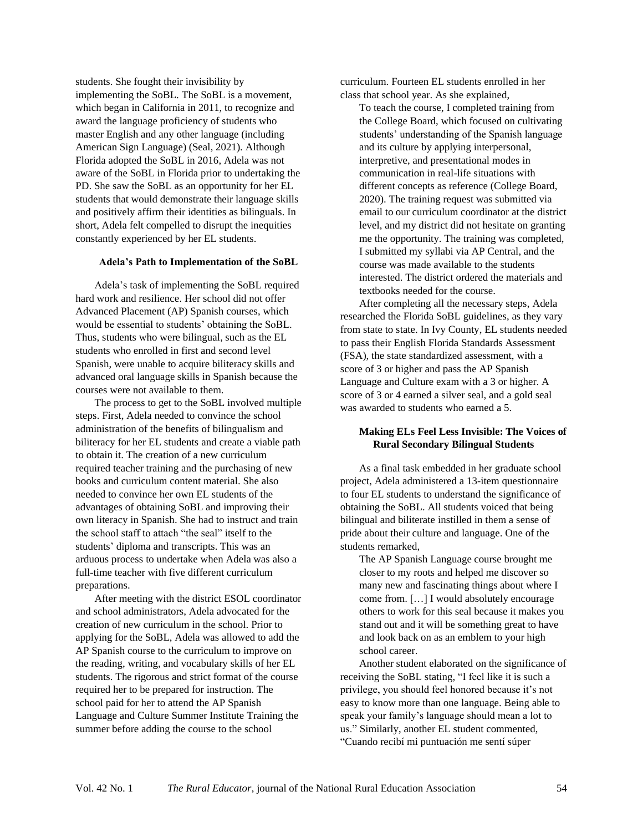students. She fought their invisibility by implementing the SoBL. The SoBL is a movement, which began in California in 2011, to recognize and award the language proficiency of students who master English and any other language (including American Sign Language) (Seal, 2021). Although Florida adopted the SoBL in 2016, Adela was not aware of the SoBL in Florida prior to undertaking the PD. She saw the SoBL as an opportunity for her EL students that would demonstrate their language skills and positively affirm their identities as bilinguals. In short, Adela felt compelled to disrupt the inequities constantly experienced by her EL students.

#### **Adela's Path to Implementation of the SoBL**

Adela's task of implementing the SoBL required hard work and resilience. Her school did not offer Advanced Placement (AP) Spanish courses, which would be essential to students' obtaining the SoBL. Thus, students who were bilingual, such as the EL students who enrolled in first and second level Spanish, were unable to acquire biliteracy skills and advanced oral language skills in Spanish because the courses were not available to them.

The process to get to the SoBL involved multiple steps. First, Adela needed to convince the school administration of the benefits of bilingualism and biliteracy for her EL students and create a viable path to obtain it. The creation of a new curriculum required teacher training and the purchasing of new books and curriculum content material. She also needed to convince her own EL students of the advantages of obtaining SoBL and improving their own literacy in Spanish. She had to instruct and train the school staff to attach "the seal" itself to the students' diploma and transcripts. This was an arduous process to undertake when Adela was also a full-time teacher with five different curriculum preparations.

After meeting with the district ESOL coordinator and school administrators, Adela advocated for the creation of new curriculum in the school. Prior to applying for the SoBL, Adela was allowed to add the AP Spanish course to the curriculum to improve on the reading, writing, and vocabulary skills of her EL students. The rigorous and strict format of the course required her to be prepared for instruction. The school paid for her to attend the AP Spanish Language and Culture Summer Institute Training the summer before adding the course to the school

curriculum. Fourteen EL students enrolled in her class that school year. As she explained,

To teach the course, I completed training from the College Board, which focused on cultivating students' understanding of the Spanish language and its culture by applying interpersonal, interpretive, and presentational modes in communication in real-life situations with different concepts as reference (College Board, 2020). The training request was submitted via email to our curriculum coordinator at the district level, and my district did not hesitate on granting me the opportunity. The training was completed, I submitted my syllabi via AP Central, and the course was made available to the students interested. The district ordered the materials and textbooks needed for the course.

After completing all the necessary steps, Adela researched the Florida SoBL guidelines, as they vary from state to state. In Ivy County, EL students needed to pass their English Florida Standards Assessment (FSA), the state standardized assessment, with a score of 3 or higher and pass the AP Spanish Language and Culture exam with a 3 or higher. A score of 3 or 4 earned a silver seal, and a gold seal was awarded to students who earned a 5.

#### **Making ELs Feel Less Invisible: The Voices of Rural Secondary Bilingual Students**

As a final task embedded in her graduate school project, Adela administered a 13-item questionnaire to four EL students to understand the significance of obtaining the SoBL. All students voiced that being bilingual and biliterate instilled in them a sense of pride about their culture and language. One of the students remarked,

The AP Spanish Language course brought me closer to my roots and helped me discover so many new and fascinating things about where I come from. […] I would absolutely encourage others to work for this seal because it makes you stand out and it will be something great to have and look back on as an emblem to your high school career.

Another student elaborated on the significance of receiving the SoBL stating, "I feel like it is such a privilege, you should feel honored because it's not easy to know more than one language. Being able to speak your family's language should mean a lot to us." Similarly, another EL student commented, "Cuando recibí mi puntuación me sentí súper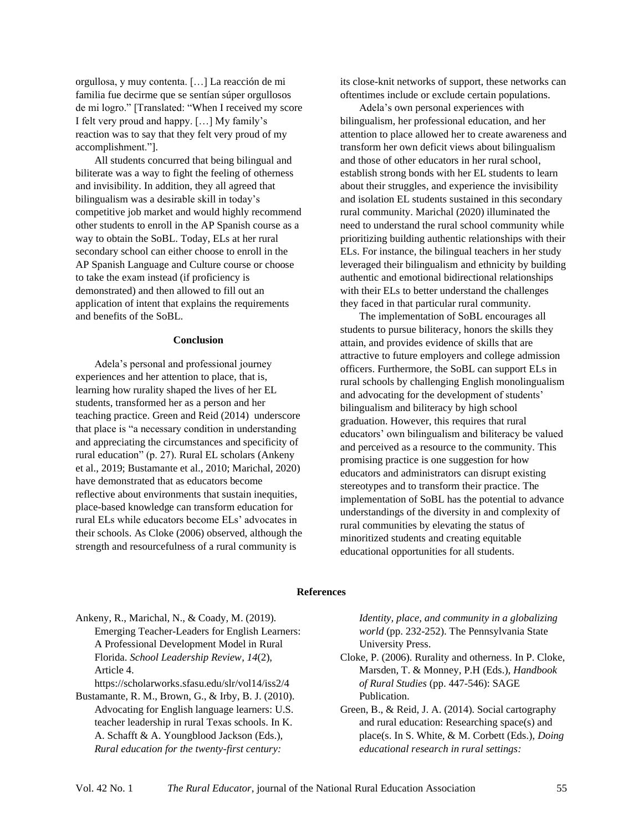orgullosa, y muy contenta. […] La reacción de mi familia fue decirme que se sentían súper orgullosos de mi logro." [Translated: "When I received my score I felt very proud and happy. […] My family's reaction was to say that they felt very proud of my accomplishment."].

All students concurred that being bilingual and biliterate was a way to fight the feeling of otherness and invisibility. In addition, they all agreed that bilingualism was a desirable skill in today's competitive job market and would highly recommend other students to enroll in the AP Spanish course as a way to obtain the SoBL. Today, ELs at her rural secondary school can either choose to enroll in the AP Spanish Language and Culture course or choose to take the exam instead (if proficiency is demonstrated) and then allowed to fill out an application of intent that explains the requirements and benefits of the SoBL.

#### **Conclusion**

Adela's personal and professional journey experiences and her attention to place, that is, learning how rurality shaped the lives of her EL students, transformed her as a person and her teaching practice. Green and Reid (2014) underscore that place is "a necessary condition in understanding and appreciating the circumstances and specificity of rural education" (p. 27). Rural EL scholars (Ankeny et al., 2019; Bustamante et al., 2010; Marichal, 2020) have demonstrated that as educators become reflective about environments that sustain inequities, place-based knowledge can transform education for rural ELs while educators become ELs' advocates in their schools. As Cloke (2006) observed, although the strength and resourcefulness of a rural community is

its close-knit networks of support, these networks can oftentimes include or exclude certain populations.

Adela's own personal experiences with bilingualism, her professional education, and her attention to place allowed her to create awareness and transform her own deficit views about bilingualism and those of other educators in her rural school, establish strong bonds with her EL students to learn about their struggles, and experience the invisibility and isolation EL students sustained in this secondary rural community. Marichal (2020) illuminated the need to understand the rural school community while prioritizing building authentic relationships with their ELs. For instance, the bilingual teachers in her study leveraged their bilingualism and ethnicity by building authentic and emotional bidirectional relationships with their ELs to better understand the challenges they faced in that particular rural community.

The implementation of SoBL encourages all students to pursue biliteracy, honors the skills they attain, and provides evidence of skills that are attractive to future employers and college admission officers. Furthermore, the SoBL can support ELs in rural schools by challenging English monolingualism and advocating for the development of students' bilingualism and biliteracy by high school graduation. However, this requires that rural educators' own bilingualism and biliteracy be valued and perceived as a resource to the community. This promising practice is one suggestion for how educators and administrators can disrupt existing stereotypes and to transform their practice. The implementation of SoBL has the potential to advance understandings of the diversity in and complexity of rural communities by elevating the status of minoritized students and creating equitable educational opportunities for all students.

#### **References**

Ankeny, R., Marichal, N., & Coady, M. (2019). Emerging Teacher-Leaders for English Learners: A Professional Development Model in Rural Florida. *School Leadership Review*, *14*(2), Article 4.

<https://scholarworks.sfasu.edu/slr/vol14/iss2/4>

Bustamante, R. M., Brown, G., & Irby, B. J. (2010). Advocating for English language learners: U.S. teacher leadership in rural Texas schools. In K. A. Schafft & A. Youngblood Jackson (Eds.), *Rural education for the twenty-first century:* 

*Identity, place, and community in a globalizing world* (pp. 232-252). The Pennsylvania State University Press.

- Cloke, P. (2006). Rurality and otherness. In P. Cloke, Marsden, T. & Monney, P.H (Eds.), *Handbook of Rural Studies* (pp. 447-546): SAGE Publication.
- Green, B., & Reid, J. A. (2014). Social cartography and rural education: Researching space(s) and place(s. In S. White, & M. Corbett (Eds.), *Doing educational research in rural settings:*